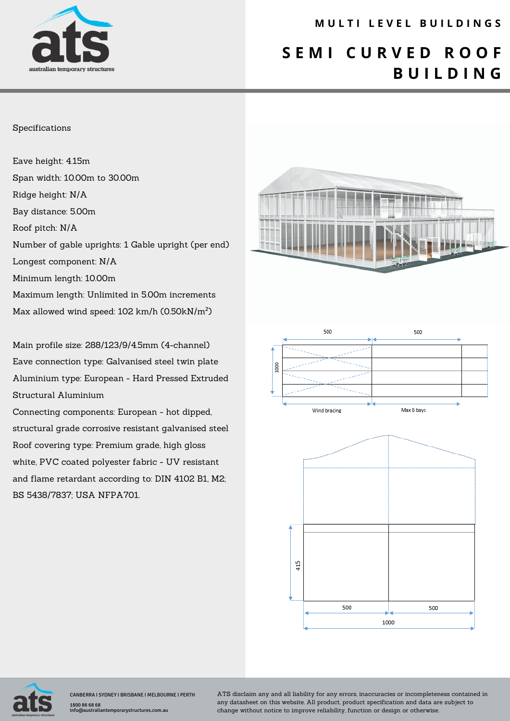

### **M U L T I L E V E L B U I L D I N G S**

## **S E M I C U R V E D R O O F B U I L D I N G**

#### Specifications

Eave height: 4.15m Span width: 10.00m to 30.00m Ridge height: N/A Bay distance: 5.00m Roof pitch: N/A Number of gable uprights: 1 Gable upright (per end) Longest component: N/A Minimum length: 10.00m Maximum length: Unlimited in 5.00m increments Max allowed wind speed: 102 km/h (0.50kN/m²)

Main profile size: 288/123/9/4.5mm (4-channel) Eave connection type: Galvanised steel twin plate Aluminium type: European - Hard Pressed Extruded Structural Aluminium

Connecting components: European - hot dipped, structural grade corrosive resistant galvanised steel Roof covering type: Premium grade, high gloss white, PVC coated polyester fabric - UV resistant and flame retardant according to: DIN 4102 B1, M2; BS 5438/7837; USA NFPA701.









CANBERRA I SYDNEY I BRISBANE I MELBOURNE I PERTH 1800 86 68 68 info@australiantemporarystructures.com.au

ATS disclaim any and all liability for any errors, inaccuracies or incompleteness contained in any datasheet on this website. All product, product specification and data are subject to change without notice to improve reliability, function or design or otherwise.